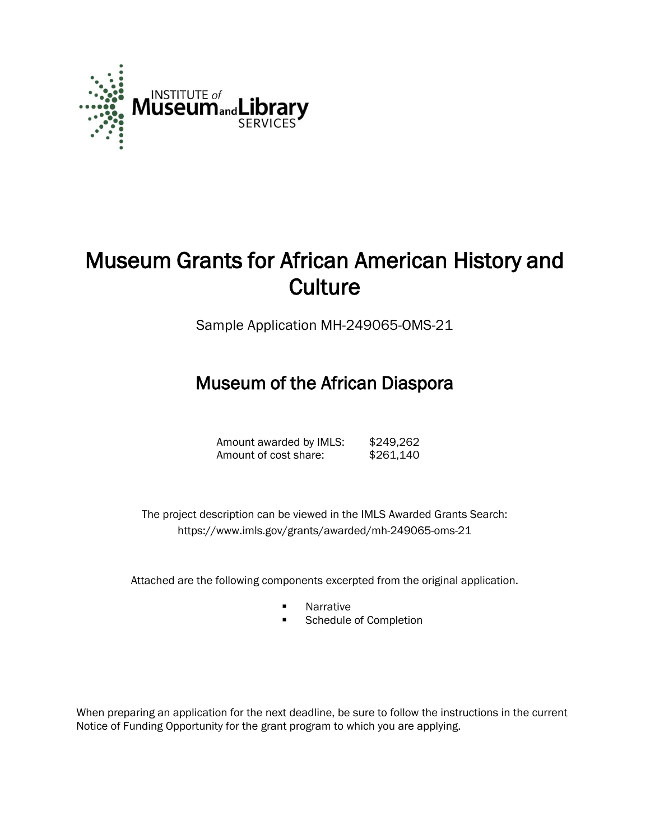

# Museum Grants for African American History and **Culture**

Sample Application MH-249065-OMS-21

## Museum of the African Diaspora

| Amount awarded by IMLS: | \$249,262 |
|-------------------------|-----------|
| Amount of cost share:   | \$261,140 |

 The project description can be viewed in the IMLS Awarded Grants Search: <https://www.imls.gov/grants/awarded/mh-249065-oms-21>

Attached are the following components excerpted from the original application.

- **Narrative**
- **Schedule of Completion**

When preparing an application for the next deadline, be sure to follow the instructions in the current Notice of Funding Opportunity for the grant program to which you are applying.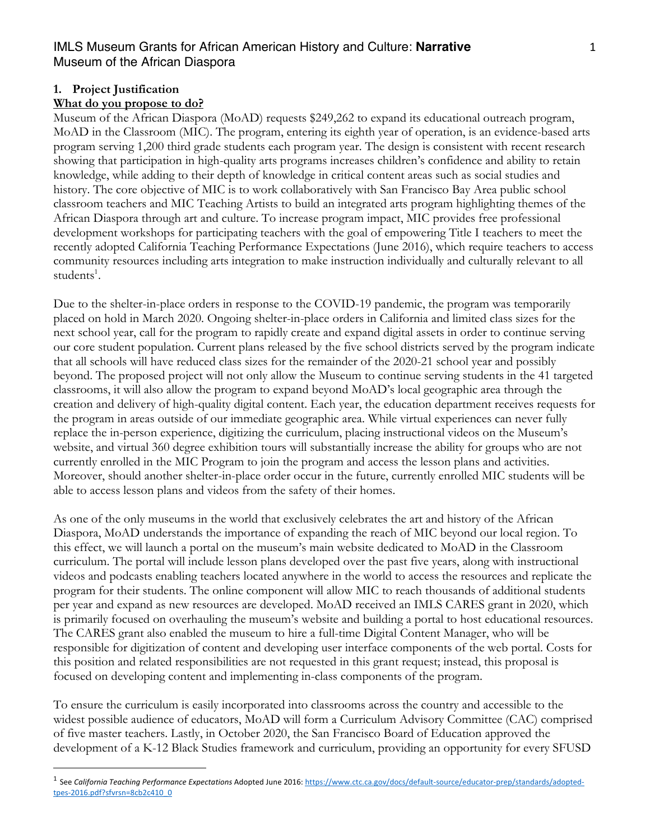#### 1

#### **1. Project Justification**

#### **What do you propose to do?**

Museum of the African Diaspora (MoAD) requests \$249,262 to expand its educational outreach program, MoAD in the Classroom (MIC). The program, entering its eighth year of operation, is an evidence-based arts program serving 1,200 third grade students each program year. The design is consistent with recent research showing that participation in high-quality arts programs increases children's confidence and ability to retain knowledge, while adding to their depth of knowledge in critical content areas such as social studies and history. The core objective of MIC is to work collaboratively with San Francisco Bay Area public school classroom teachers and MIC Teaching Artists to build an integrated arts program highlighting themes of the African Diaspora through art and culture. To increase program impact, MIC provides free professional development workshops for participating teachers with the goal of empowering Title I teachers to meet the recently adopted California Teaching Performance Expectations (June 2016), which require teachers to access community resources including arts integration to make instruction individually and culturally relevant to all students<sup>1</sup>.

Due to the shelter-in-place orders in response to the COVID-19 pandemic, the program was temporarily placed on hold in March 2020. Ongoing shelter-in-place orders in California and limited class sizes for the next school year, call for the program to rapidly create and expand digital assets in order to continue serving our core student population. Current plans released by the five school districts served by the program indicate that all schools will have reduced class sizes for the remainder of the 2020-21 school year and possibly beyond. The proposed project will not only allow the Museum to continue serving students in the 41 targeted classrooms, it will also allow the program to expand beyond MoAD's local geographic area through the creation and delivery of high-quality digital content. Each year, the education department receives requests for the program in areas outside of our immediate geographic area. While virtual experiences can never fully replace the in-person experience, digitizing the curriculum, placing instructional videos on the Museum's website, and virtual 360 degree exhibition tours will substantially increase the ability for groups who are not currently enrolled in the MIC Program to join the program and access the lesson plans and activities. Moreover, should another shelter-in-place order occur in the future, currently enrolled MIC students will be able to access lesson plans and videos from the safety of their homes.

As one of the only museums in the world that exclusively celebrates the art and history of the African Diaspora, MoAD understands the importance of expanding the reach of MIC beyond our local region. To this effect, we will launch a portal on the museum's main website dedicated to MoAD in the Classroom curriculum. The portal will include lesson plans developed over the past five years, along with instructional videos and podcasts enabling teachers located anywhere in the world to access the resources and replicate the program for their students. The online component will allow MIC to reach thousands of additional students per year and expand as new resources are developed. MoAD received an IMLS CARES grant in 2020, which is primarily focused on overhauling the museum's website and building a portal to host educational resources. The CARES grant also enabled the museum to hire a full-time Digital Content Manager, who will be responsible for digitization of content and developing user interface components of the web portal. Costs for this position and related responsibilities are not requested in this grant request; instead, this proposal is focused on developing content and implementing in-class components of the program.

To ensure the curriculum is easily incorporated into classrooms across the country and accessible to the widest possible audience of educators, MoAD will form a Curriculum Advisory Committee (CAC) comprised of five master teachers. Lastly, in October 2020, the San Francisco Board of Education approved the development of a K-12 Black Studies framework and curriculum, providing an opportunity for every SFUSD

<sup>1</sup> See *California Teaching Performance Expectations* Adopted June 2016: https://www.ctc.ca.gov/docs/default-source/educator-prep/standards/adoptedtpes-2016.pdf?sfvrsn=8cb2c410\_0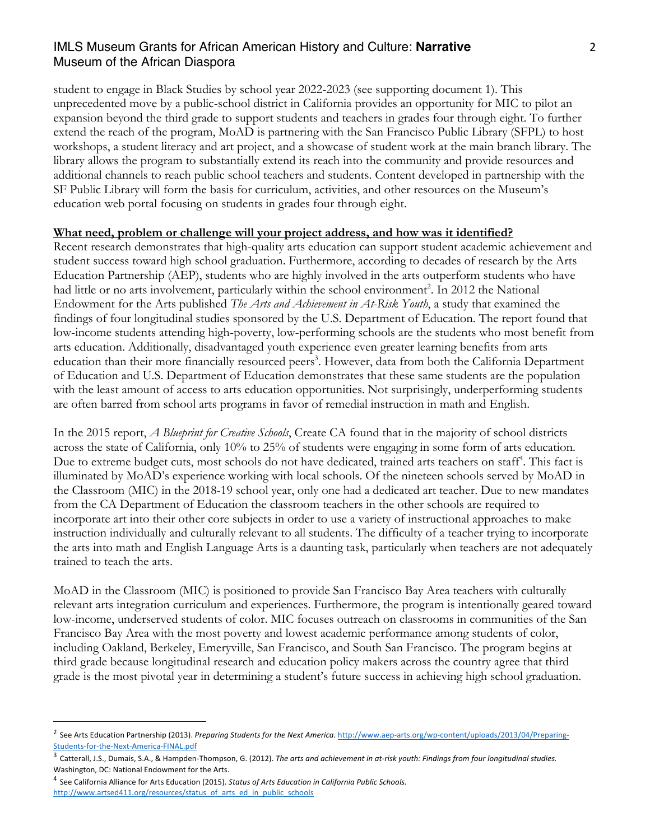student to engage in Black Studies by school year 2022-2023 (see supporting document 1). This unprecedented move by a public-school district in California provides an opportunity for MIC to pilot an expansion beyond the third grade to support students and teachers in grades four through eight. To further extend the reach of the program, MoAD is partnering with the San Francisco Public Library (SFPL) to host workshops, a student literacy and art project, and a showcase of student work at the main branch library. The library allows the program to substantially extend its reach into the community and provide resources and additional channels to reach public school teachers and students. Content developed in partnership with the SF Public Library will form the basis for curriculum, activities, and other resources on the Museum's education web portal focusing on students in grades four through eight.

#### **What need, problem or challenge will your project address, and how was it identified?**

Recent research demonstrates that high-quality arts education can support student academic achievement and student success toward high school graduation. Furthermore, according to decades of research by the Arts Education Partnership (AEP), students who are highly involved in the arts outperform students who have had little or no arts involvement, particularly within the school environment<sup>2</sup>. In 2012 the National Endowment for the Arts published *The Arts and Achievement in At-Risk Youth*, a study that examined the findings of four longitudinal studies sponsored by the U.S. Department of Education. The report found that low-income students attending high-poverty, low-performing schools are the students who most benefit from arts education. Additionally, disadvantaged youth experience even greater learning benefits from arts education than their more financially resourced peers<sup>3</sup>. However, data from both the California Department of Education and U.S. Department of Education demonstrates that these same students are the population with the least amount of access to arts education opportunities. Not surprisingly, underperforming students are often barred from school arts programs in favor of remedial instruction in math and English.

In the 2015 report, *A Blueprint for Creative Schools*, Create CA found that in the majority of school districts across the state of California, only 10% to 25% of students were engaging in some form of arts education. Due to extreme budget cuts, most schools do not have dedicated, trained arts teachers on staff<sup>4</sup>. This fact is illuminated by MoAD's experience working with local schools. Of the nineteen schools served by MoAD in the Classroom (MIC) in the 2018-19 school year, only one had a dedicated art teacher. Due to new mandates from the CA Department of Education the classroom teachers in the other schools are required to incorporate art into their other core subjects in order to use a variety of instructional approaches to make instruction individually and culturally relevant to all students. The difficulty of a teacher trying to incorporate the arts into math and English Language Arts is a daunting task, particularly when teachers are not adequately trained to teach the arts.

MoAD in the Classroom (MIC) is positioned to provide San Francisco Bay Area teachers with culturally relevant arts integration curriculum and experiences. Furthermore, the program is intentionally geared toward low-income, underserved students of color. MIC focuses outreach on classrooms in communities of the San Francisco Bay Area with the most poverty and lowest academic performance among students of color, including Oakland, Berkeley, Emeryville, San Francisco, and South San Francisco. The program begins at third grade because longitudinal research and education policy makers across the country agree that third grade is the most pivotal year in determining a student's future success in achieving high school graduation.

<sup>&</sup>lt;sup>2</sup> See Arts Education Partnership (2013). Preparing Students for the Next America. http://www.aep-arts.org/wp-content/uploads/2013/04/Preparing-Students-for-the-Next-America-FINAL.pdf

<sup>3</sup> Catterall, J.S., Dumais, S.A., & Hampden-Thompson, G. (2012). *The arts and achievement in at-risk youth: Findings from four longitudinal studies.*  Washington, DC: National Endowment for the Arts.

<sup>4</sup> See California Alliance for Arts Education (2015). *Status of Arts Education in California Public Schools.* http://www.artsed411.org/resources/status\_of\_arts\_ed\_in\_public\_schools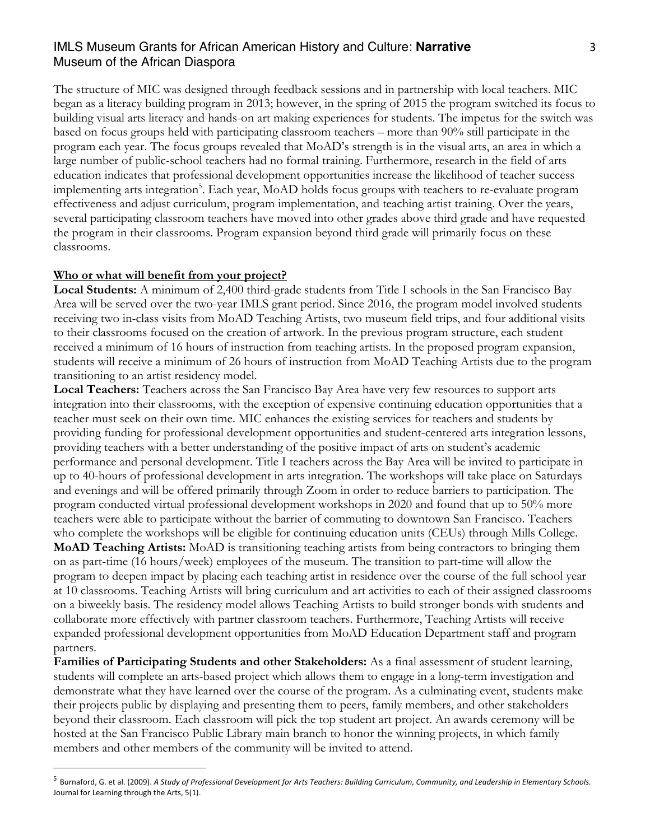The structure of MIC was designed through feedback sessions and in partnership with local teachers. MIC began as a literacy building program in 2013; however, in the spring of 2015 the program switched its focus to building visual arts literacy and hands-on art making experiences for students. The impetus for the switch was based on focus groups held with participating classroom teachers – more than 90% still participate in the program each year. The focus groups revealed that MoAD's strength is in the visual arts, an area in which a large number of public-school teachers had no formal training. Furthermore, research in the field of arts education indicates that professional development opportunities increase the likelihood of teacher success implementing arts integration<sup>5</sup>. Each year, MoAD holds focus groups with teachers to re-evaluate program effectiveness and adjust curriculum, program implementation, and teaching artist training. Over the years, several participating classroom teachers have moved into other grades above third grade and have requested the program in their classrooms. Program expansion beyond third grade will primarily focus on these classrooms.

#### **Who or what will benefit from your project?**

**Local Students:** A minimum of 2,400 third-grade students from Title I schools in the San Francisco Bay Area will be served over the two-year IMLS grant period. Since 2016, the program model involved students receiving two in-class visits from MoAD Teaching Artists, two museum field trips, and four additional visits to their classrooms focused on the creation of artwork. In the previous program structure, each student received a minimum of 16 hours of instruction from teaching artists. In the proposed program expansion, students will receive a minimum of 26 hours of instruction from MoAD Teaching Artists due to the program transitioning to an artist residency model.

**Local Teachers:** Teachers across the San Francisco Bay Area have very few resources to support arts integration into their classrooms, with the exception of expensive continuing education opportunities that a teacher must seek on their own time. MIC enhances the existing services for teachers and students by providing funding for professional development opportunities and student-centered arts integration lessons, providing teachers with a better understanding of the positive impact of arts on student's academic performance and personal development. Title I teachers across the Bay Area will be invited to participate in up to 40-hours of professional development in arts integration. The workshops will take place on Saturdays and evenings and will be offered primarily through Zoom in order to reduce barriers to participation. The program conducted virtual professional development workshops in 2020 and found that up to 50% more teachers were able to participate without the barrier of commuting to downtown San Francisco. Teachers who complete the workshops will be eligible for continuing education units (CEUs) through Mills College. **MoAD Teaching Artists:** MoAD is transitioning teaching artists from being contractors to bringing them on as part-time (16 hours/week) employees of the museum. The transition to part-time will allow the program to deepen impact by placing each teaching artist in residence over the course of the full school year at 10 classrooms. Teaching Artists will bring curriculum and art activities to each of their assigned classrooms on a biweekly basis. The residency model allows Teaching Artists to build stronger bonds with students and collaborate more effectively with partner classroom teachers. Furthermore, Teaching Artists will receive expanded professional development opportunities from MoAD Education Department staff and program partners.

**Families of Participating Students and other Stakeholders:** As a final assessment of student learning, students will complete an arts-based project which allows them to engage in a long-term investigation and demonstrate what they have learned over the course of the program. As a culminating event, students make their projects public by displaying and presenting them to peers, family members, and other stakeholders beyond their classroom. Each classroom will pick the top student art project. An awards ceremony will be hosted at the San Francisco Public Library main branch to honor the winning projects, in which family members and other members of the community will be invited to attend.

<sup>5</sup> Burnaford, G. et al. (2009). *A Study of Professional Development for Arts Teachers: Building Curriculum, Community, and Leadership in Elementary Schools.*  Journal for Learning through the Arts, 5(1).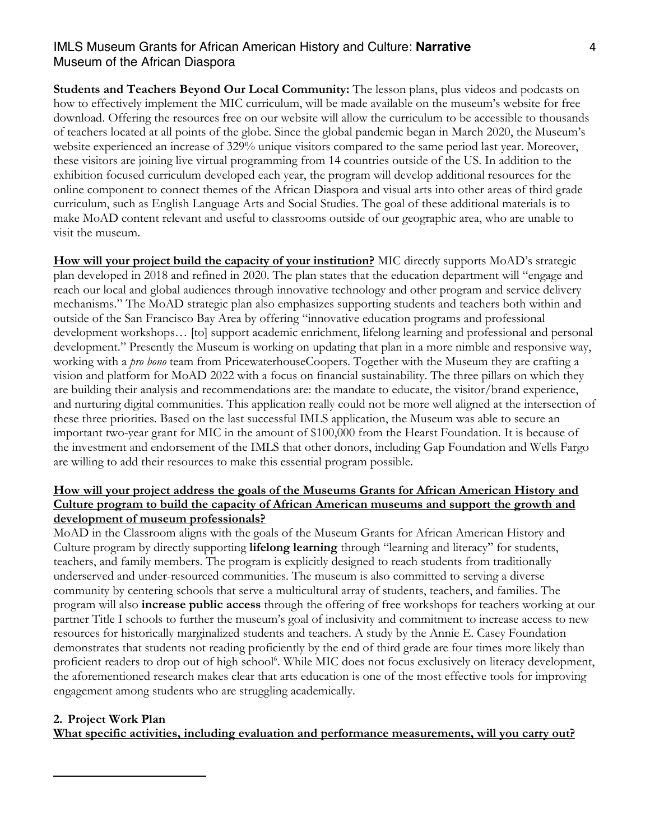**Students and Teachers Beyond Our Local Community:** The lesson plans, plus videos and podcasts on how to effectively implement the MIC curriculum, will be made available on the museum's website for free download. Offering the resources free on our website will allow the curriculum to be accessible to thousands of teachers located at all points of the globe. Since the global pandemic began in March 2020, the Museum's website experienced an increase of 329% unique visitors compared to the same period last year. Moreover, these visitors are joining live virtual programming from 14 countries outside of the US. In addition to the exhibition focused curriculum developed each year, the program will develop additional resources for the online component to connect themes of the African Diaspora and visual arts into other areas of third grade curriculum, such as English Language Arts and Social Studies. The goal of these additional materials is to make MoAD content relevant and useful to classrooms outside of our geographic area, who are unable to visit the museum.

**How will your project build the capacity of your institution?** MIC directly supports MoAD's strategic plan developed in 2018 and refined in 2020. The plan states that the education department will "engage and reach our local and global audiences through innovative technology and other program and service delivery mechanisms." The MoAD strategic plan also emphasizes supporting students and teachers both within and outside of the San Francisco Bay Area by offering "innovative education programs and professional development workshops… [to] support academic enrichment, lifelong learning and professional and personal development." Presently the Museum is working on updating that plan in a more nimble and responsive way, working with a *pro bono* team from PricewaterhouseCoopers. Together with the Museum they are crafting a vision and platform for MoAD 2022 with a focus on financial sustainability. The three pillars on which they are building their analysis and recommendations are: the mandate to educate, the visitor/brand experience, and nurturing digital communities. This application really could not be more well aligned at the intersection of these three priorities. Based on the last successful IMLS application, the Museum was able to secure an important two-year grant for MIC in the amount of \$100,000 from the Hearst Foundation. It is because of the investment and endorsement of the IMLS that other donors, including Gap Foundation and Wells Fargo are willing to add their resources to make this essential program possible.

## **How will your project address the goals of the Museums Grants for African American History and Culture program to build the capacity of African American museums and support the growth and development of museum professionals?**

MoAD in the Classroom aligns with the goals of the Museum Grants for African American History and Culture program by directly supporting **lifelong learning** through "learning and literacy" for students, teachers, and family members. The program is explicitly designed to reach students from traditionally underserved and under-resourced communities. The museum is also committed to serving a diverse community by centering schools that serve a multicultural array of students, teachers, and families. The program will also **increase public access** through the offering of free workshops for teachers working at our partner Title I schools to further the museum's goal of inclusivity and commitment to increase access to new resources for historically marginalized students and teachers. A study by the Annie E. Casey Foundation demonstrates that students not reading proficiently by the end of third grade are four times more likely than proficient readers to drop out of high school<sup>6</sup>. While MIC does not focus exclusively on literacy development, the aforementioned research makes clear that arts education is one of the most effective tools for improving engagement among students who are struggling academically.

## **2. Project Work Plan**

**What specific activities, including evaluation and performance measurements, will you carry out?**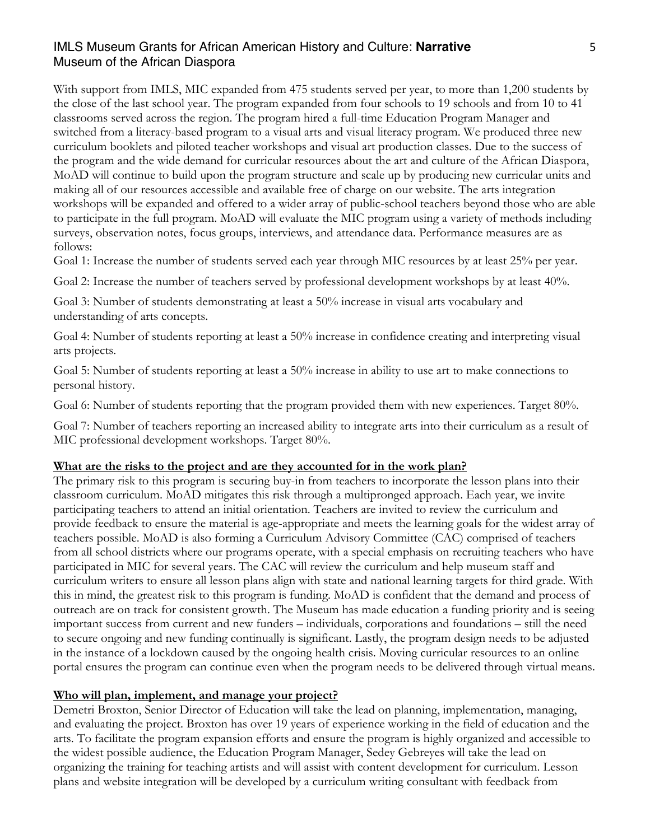With support from IMLS, MIC expanded from 475 students served per year, to more than 1,200 students by the close of the last school year. The program expanded from four schools to 19 schools and from 10 to 41 classrooms served across the region. The program hired a full-time Education Program Manager and switched from a literacy-based program to a visual arts and visual literacy program. We produced three new curriculum booklets and piloted teacher workshops and visual art production classes. Due to the success of the program and the wide demand for curricular resources about the art and culture of the African Diaspora, MoAD will continue to build upon the program structure and scale up by producing new curricular units and making all of our resources accessible and available free of charge on our website. The arts integration workshops will be expanded and offered to a wider array of public-school teachers beyond those who are able to participate in the full program. MoAD will evaluate the MIC program using a variety of methods including surveys, observation notes, focus groups, interviews, and attendance data. Performance measures are as follows:

Goal 1: Increase the number of students served each year through MIC resources by at least 25% per year.

Goal 2: Increase the number of teachers served by professional development workshops by at least  $40\%$ .

Goal 3: Number of students demonstrating at least a 50% increase in visual arts vocabulary and understanding of arts concepts.

Goal 4: Number of students reporting at least a 50% increase in confidence creating and interpreting visual arts projects.

Goal 5: Number of students reporting at least a 50% increase in ability to use art to make connections to personal history.

Goal 6: Number of students reporting that the program provided them with new experiences. Target 80%.

Goal 7: Number of teachers reporting an increased ability to integrate arts into their curriculum as a result of MIC professional development workshops. Target 80%.

#### **What are the risks to the project and are they accounted for in the work plan?**

The primary risk to this program is securing buy-in from teachers to incorporate the lesson plans into their classroom curriculum. MoAD mitigates this risk through a multipronged approach. Each year, we invite participating teachers to attend an initial orientation. Teachers are invited to review the curriculum and provide feedback to ensure the material is age-appropriate and meets the learning goals for the widest array of teachers possible. MoAD is also forming a Curriculum Advisory Committee (CAC) comprised of teachers from all school districts where our programs operate, with a special emphasis on recruiting teachers who have participated in MIC for several years. The CAC will review the curriculum and help museum staff and curriculum writers to ensure all lesson plans align with state and national learning targets for third grade. With this in mind, the greatest risk to this program is funding. MoAD is confident that the demand and process of outreach are on track for consistent growth. The Museum has made education a funding priority and is seeing important success from current and new funders – individuals, corporations and foundations – still the need to secure ongoing and new funding continually is significant. Lastly, the program design needs to be adjusted in the instance of a lockdown caused by the ongoing health crisis. Moving curricular resources to an online portal ensures the program can continue even when the program needs to be delivered through virtual means.

#### **Who will plan, implement, and manage your project?**

Demetri Broxton, Senior Director of Education will take the lead on planning, implementation, managing, and evaluating the project. Broxton has over 19 years of experience working in the field of education and the arts. To facilitate the program expansion efforts and ensure the program is highly organized and accessible to the widest possible audience, the Education Program Manager, Sedey Gebreyes will take the lead on organizing the training for teaching artists and will assist with content development for curriculum. Lesson plans and website integration will be developed by a curriculum writing consultant with feedback from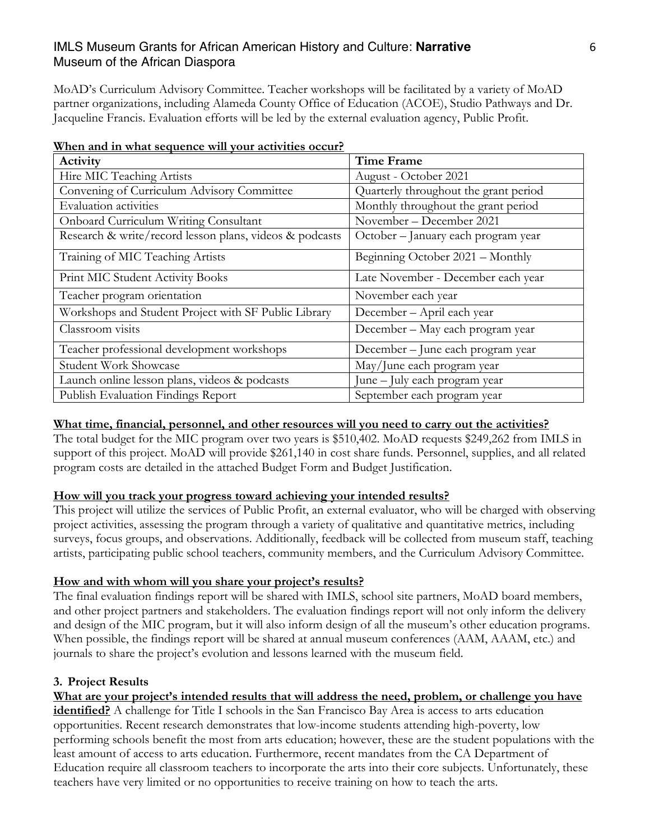MoAD's Curriculum Advisory Committee. Teacher workshops will be facilitated by a variety of MoAD partner organizations, including Alameda County Office of Education (ACOE), Studio Pathways and Dr. Jacqueline Francis. Evaluation efforts will be led by the external evaluation agency, Public Profit.

| <u><i><u>hen und in whut ocqueinee was your uctivities occurri</u></i></u><br>Activity | <b>Time Frame</b>                     |
|----------------------------------------------------------------------------------------|---------------------------------------|
| Hire MIC Teaching Artists                                                              | August - October 2021                 |
| Convening of Curriculum Advisory Committee                                             | Quarterly throughout the grant period |
| <b>Evaluation</b> activities                                                           | Monthly throughout the grant period   |
| <b>Onboard Curriculum Writing Consultant</b>                                           | November - December 2021              |
| Research & write/record lesson plans, videos & podcasts                                | October – January each program year   |
| Training of MIC Teaching Artists                                                       | Beginning October 2021 - Monthly      |
| Print MIC Student Activity Books                                                       | Late November - December each year    |
| Teacher program orientation                                                            | November each year                    |
| Workshops and Student Project with SF Public Library                                   | December - April each year            |
| Classroom visits                                                                       | December – May each program year      |
| Teacher professional development workshops                                             | December – June each program year     |
| Student Work Showcase                                                                  | May/June each program year            |
| Launch online lesson plans, videos & podcasts                                          | June – July each program year         |
| Publish Evaluation Findings Report                                                     | September each program year           |

| When and in what sequence will your activities occur? |  |
|-------------------------------------------------------|--|
|                                                       |  |

## **What time, financial, personnel, and other resources will you need to carry out the activities?**

The total budget for the MIC program over two years is \$510,402. MoAD requests \$249,262 from IMLS in support of this project. MoAD will provide \$261,140 in cost share funds. Personnel, supplies, and all related program costs are detailed in the attached Budget Form and Budget Justification.

#### **How will you track your progress toward achieving your intended results?**

This project will utilize the services of Public Profit, an external evaluator, who will be charged with observing project activities, assessing the program through a variety of qualitative and quantitative metrics, including surveys, focus groups, and observations. Additionally, feedback will be collected from museum staff, teaching artists, participating public school teachers, community members, and the Curriculum Advisory Committee.

#### **How and with whom will you share your project's results?**

The final evaluation findings report will be shared with IMLS, school site partners, MoAD board members, and other project partners and stakeholders. The evaluation findings report will not only inform the delivery and design of the MIC program, but it will also inform design of all the museum's other education programs. When possible, the findings report will be shared at annual museum conferences (AAM, AAAM, etc.) and journals to share the project's evolution and lessons learned with the museum field.

## **3. Project Results**

## **What are your project's intended results that will address the need, problem, or challenge you have**

**identified?** A challenge for Title I schools in the San Francisco Bay Area is access to arts education opportunities. Recent research demonstrates that low-income students attending high-poverty, low performing schools benefit the most from arts education; however, these are the student populations with the least amount of access to arts education. Furthermore, recent mandates from the CA Department of Education require all classroom teachers to incorporate the arts into their core subjects. Unfortunately, these teachers have very limited or no opportunities to receive training on how to teach the arts.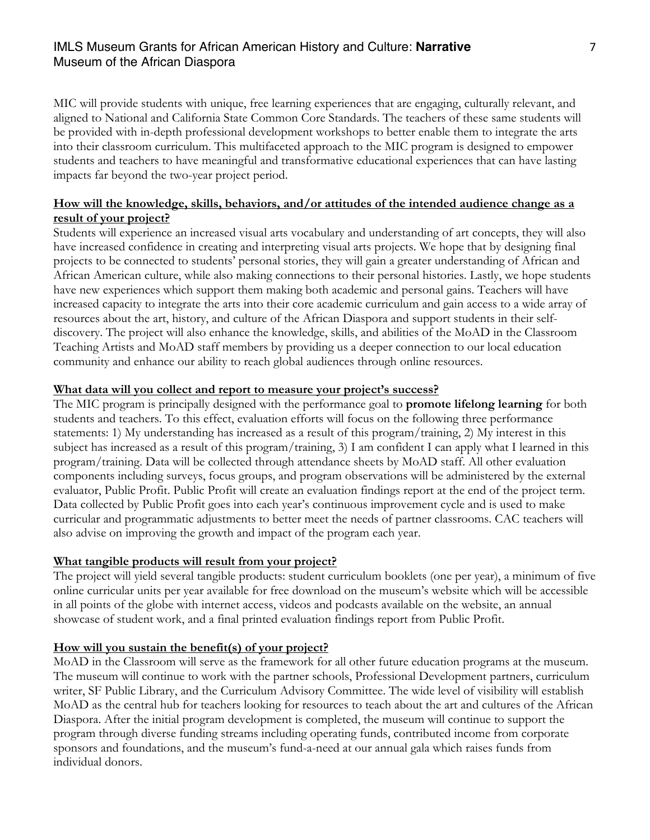MIC will provide students with unique, free learning experiences that are engaging, culturally relevant, and aligned to National and California State Common Core Standards. The teachers of these same students will be provided with in-depth professional development workshops to better enable them to integrate the arts into their classroom curriculum. This multifaceted approach to the MIC program is designed to empower students and teachers to have meaningful and transformative educational experiences that can have lasting impacts far beyond the two-year project period.

## **How will the knowledge, skills, behaviors, and/or attitudes of the intended audience change as a result of your project?**

Students will experience an increased visual arts vocabulary and understanding of art concepts, they will also have increased confidence in creating and interpreting visual arts projects. We hope that by designing final projects to be connected to students' personal stories, they will gain a greater understanding of African and African American culture, while also making connections to their personal histories. Lastly, we hope students have new experiences which support them making both academic and personal gains. Teachers will have increased capacity to integrate the arts into their core academic curriculum and gain access to a wide array of resources about the art, history, and culture of the African Diaspora and support students in their selfdiscovery. The project will also enhance the knowledge, skills, and abilities of the MoAD in the Classroom Teaching Artists and MoAD staff members by providing us a deeper connection to our local education community and enhance our ability to reach global audiences through online resources.

#### **What data will you collect and report to measure your project's success?**

The MIC program is principally designed with the performance goal to **promote lifelong learning** for both students and teachers. To this effect, evaluation efforts will focus on the following three performance statements: 1) My understanding has increased as a result of this program/training, 2) My interest in this subject has increased as a result of this program/training, 3) I am confident I can apply what I learned in this program/training. Data will be collected through attendance sheets by MoAD staff. All other evaluation components including surveys, focus groups, and program observations will be administered by the external evaluator, Public Profit. Public Profit will create an evaluation findings report at the end of the project term. Data collected by Public Profit goes into each year's continuous improvement cycle and is used to make curricular and programmatic adjustments to better meet the needs of partner classrooms. CAC teachers will also advise on improving the growth and impact of the program each year.

#### **What tangible products will result from your project?**

The project will yield several tangible products: student curriculum booklets (one per year), a minimum of five online curricular units per year available for free download on the museum's website which will be accessible in all points of the globe with internet access, videos and podcasts available on the website, an annual showcase of student work, and a final printed evaluation findings report from Public Profit.

#### **How will you sustain the benefit(s) of your project?**

MoAD in the Classroom will serve as the framework for all other future education programs at the museum. The museum will continue to work with the partner schools, Professional Development partners, curriculum writer, SF Public Library, and the Curriculum Advisory Committee. The wide level of visibility will establish MoAD as the central hub for teachers looking for resources to teach about the art and cultures of the African Diaspora. After the initial program development is completed, the museum will continue to support the program through diverse funding streams including operating funds, contributed income from corporate sponsors and foundations, and the museum's fund-a-need at our annual gala which raises funds from individual donors.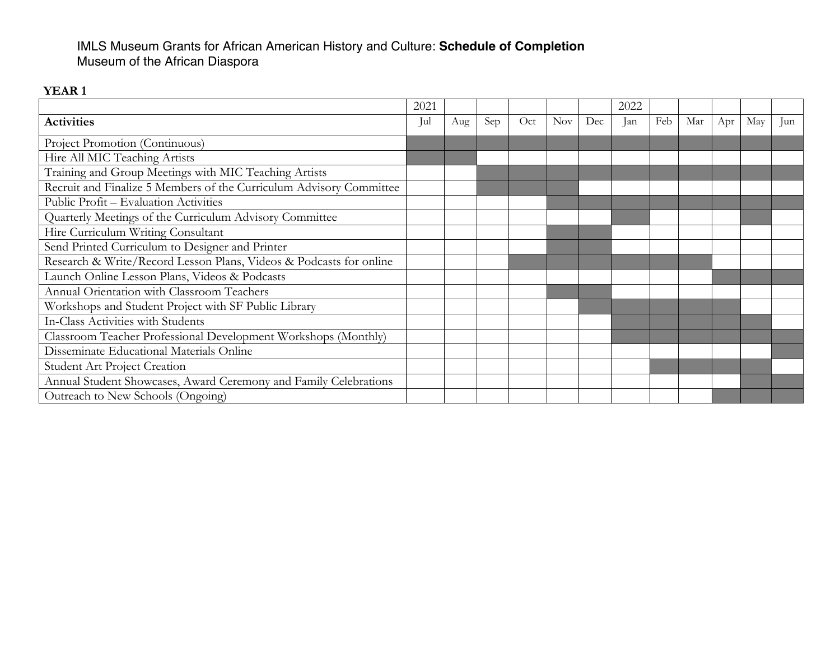## IMLS Museum Grants for African American History and Culture: **Schedule of Completion** Museum of the African Diaspora

## **YEAR 1**

|                                                                     | 2021 |     |     |     |            |     | 2022 |     |     |     |     |     |
|---------------------------------------------------------------------|------|-----|-----|-----|------------|-----|------|-----|-----|-----|-----|-----|
| <b>Activities</b>                                                   | Jul  | Aug | Sep | Oct | <b>Nov</b> | Dec | Jan  | Feb | Mar | Apr | May | lun |
| Project Promotion (Continuous)                                      |      |     |     |     |            |     |      |     |     |     |     |     |
| Hire All MIC Teaching Artists                                       |      |     |     |     |            |     |      |     |     |     |     |     |
| Training and Group Meetings with MIC Teaching Artists               |      |     |     |     |            |     |      |     |     |     |     |     |
| Recruit and Finalize 5 Members of the Curriculum Advisory Committee |      |     |     |     |            |     |      |     |     |     |     |     |
| <b>Public Profit - Evaluation Activities</b>                        |      |     |     |     |            |     |      |     |     |     |     |     |
| Quarterly Meetings of the Curriculum Advisory Committee             |      |     |     |     |            |     |      |     |     |     |     |     |
| Hire Curriculum Writing Consultant                                  |      |     |     |     |            |     |      |     |     |     |     |     |
| Send Printed Curriculum to Designer and Printer                     |      |     |     |     |            |     |      |     |     |     |     |     |
| Research & Write/Record Lesson Plans, Videos & Podcasts for online  |      |     |     |     |            |     |      |     |     |     |     |     |
| Launch Online Lesson Plans, Videos & Podcasts                       |      |     |     |     |            |     |      |     |     |     |     |     |
| Annual Orientation with Classroom Teachers                          |      |     |     |     |            |     |      |     |     |     |     |     |
| Workshops and Student Project with SF Public Library                |      |     |     |     |            |     |      |     |     |     |     |     |
| In-Class Activities with Students                                   |      |     |     |     |            |     |      |     |     |     |     |     |
| Classroom Teacher Professional Development Workshops (Monthly)      |      |     |     |     |            |     |      |     |     |     |     |     |
| Disseminate Educational Materials Online                            |      |     |     |     |            |     |      |     |     |     |     |     |
| <b>Student Art Project Creation</b>                                 |      |     |     |     |            |     |      |     |     |     |     |     |
| Annual Student Showcases, Award Ceremony and Family Celebrations    |      |     |     |     |            |     |      |     |     |     |     |     |
| Outreach to New Schools (Ongoing)                                   |      |     |     |     |            |     |      |     |     |     |     |     |